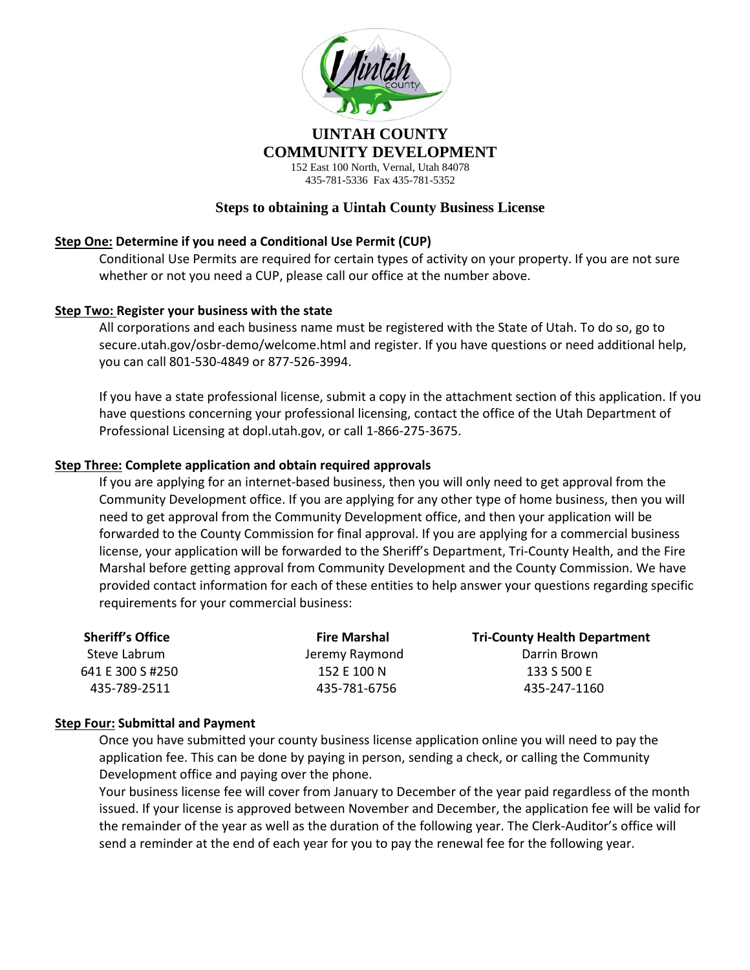

## **UINTAH COUNTY COMMUNITY DEVELOPMENT** 152 East 100 North, Vernal, Utah 84078

435-781-5336 Fax 435-781-5352

# **Steps to obtaining a Uintah County Business License**

# **Step One: Determine if you need a Conditional Use Permit (CUP)**

Conditional Use Permits are required for certain types of activity on your property. If you are not sure whether or not you need a CUP, please call our office at the number above.

## **Step Two: Register your business with the state**

All corporations and each business name must be registered with the State of Utah. To do so, go to secure.utah.gov/osbr-demo/welcome.html and register. If you have questions or need additional help, you can call 801-530-4849 or 877-526-3994.

If you have a state professional license, submit a copy in the attachment section of this application. If you have questions concerning your professional licensing, contact the office of the Utah Department of Professional Licensing at dopl.utah.gov, or call 1-866-275-3675.

## **Step Three: Complete application and obtain required approvals**

If you are applying for an internet-based business, then you will only need to get approval from the Community Development office. If you are applying for any other type of home business, then you will need to get approval from the Community Development office, and then your application will be forwarded to the County Commission for final approval. If you are applying for a commercial business license, your application will be forwarded to the Sheriff's Department, Tri-County Health, and the Fire Marshal before getting approval from Community Development and the County Commission. We have provided contact information for each of these entities to help answer your questions regarding specific requirements for your commercial business:

| <b>Sheriff's Office</b> | <b>Fire Marshal</b> | <b>Tri-County Health Department</b> |
|-------------------------|---------------------|-------------------------------------|
| Steve Labrum            | Jeremy Raymond      | Darrin Brown                        |
| 641 E 300 S #250        | 152 E 100 N         | 133 S 500 E                         |
| 435-789-2511            | 435-781-6756        | 435-247-1160                        |

### **Step Four: Submittal and Payment**

Once you have submitted your county business license application online you will need to pay the application fee. This can be done by paying in person, sending a check, or calling the Community Development office and paying over the phone.

Your business license fee will cover from January to December of the year paid regardless of the month issued. If your license is approved between November and December, the application fee will be valid for the remainder of the year as well as the duration of the following year. The Clerk-Auditor's office will send a reminder at the end of each year for you to pay the renewal fee for the following year.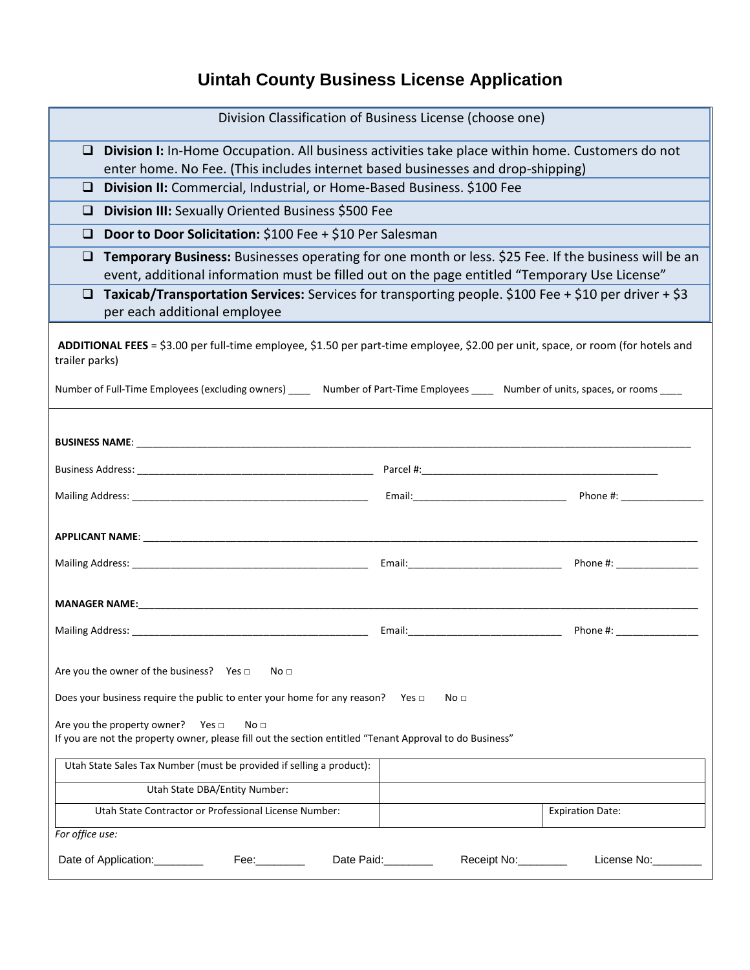# **Uintah County Business License Application**

| Division Classification of Business License (choose one)                                                                                                                                      |  |  |  |  |
|-----------------------------------------------------------------------------------------------------------------------------------------------------------------------------------------------|--|--|--|--|
| $\Box$<br>Division I: In-Home Occupation. All business activities take place within home. Customers do not<br>enter home. No Fee. (This includes internet based businesses and drop-shipping) |  |  |  |  |
| Division II: Commercial, Industrial, or Home-Based Business. \$100 Fee<br>$\Box$                                                                                                              |  |  |  |  |
| Division III: Sexually Oriented Business \$500 Fee<br>⊔                                                                                                                                       |  |  |  |  |
| Door to Door Solicitation: \$100 Fee + \$10 Per Salesman<br>□                                                                                                                                 |  |  |  |  |
| Temporary Business: Businesses operating for one month or less. \$25 Fee. If the business will be an<br>❏                                                                                     |  |  |  |  |
| event, additional information must be filled out on the page entitled "Temporary Use License"                                                                                                 |  |  |  |  |
| Taxicab/Transportation Services: Services for transporting people. \$100 Fee + \$10 per driver + \$3<br>❏                                                                                     |  |  |  |  |
| per each additional employee                                                                                                                                                                  |  |  |  |  |
| ADDITIONAL FEES = \$3.00 per full-time employee, \$1.50 per part-time employee, \$2.00 per unit, space, or room (for hotels and<br>trailer parks)                                             |  |  |  |  |
| Number of Full-Time Employees (excluding owners) _____ Number of Part-Time Employees ____ Number of units, spaces, or rooms ____                                                              |  |  |  |  |
|                                                                                                                                                                                               |  |  |  |  |
|                                                                                                                                                                                               |  |  |  |  |
|                                                                                                                                                                                               |  |  |  |  |
|                                                                                                                                                                                               |  |  |  |  |
|                                                                                                                                                                                               |  |  |  |  |
|                                                                                                                                                                                               |  |  |  |  |
|                                                                                                                                                                                               |  |  |  |  |
|                                                                                                                                                                                               |  |  |  |  |
| Are you the owner of the business? Yes $\Box$<br>No <sub>1</sub>                                                                                                                              |  |  |  |  |
| Does your business require the public to enter your home for any reason? Yes $\Box$<br>No <sub>1</sub>                                                                                        |  |  |  |  |
| Are you the property owner? Yes $\Box$<br>No <sub>1</sub><br>If you are not the property owner, please fill out the section entitled "Tenant Approval to do Business"                         |  |  |  |  |
| Utah State Sales Tax Number (must be provided if selling a product):                                                                                                                          |  |  |  |  |
| Utah State DBA/Entity Number:                                                                                                                                                                 |  |  |  |  |
| Utah State Contractor or Professional License Number:<br><b>Expiration Date:</b>                                                                                                              |  |  |  |  |
| For office use:                                                                                                                                                                               |  |  |  |  |
| Fee: __________ Date Paid: _________<br>Receipt No:________<br>License No:<br>Date of Application: _________                                                                                  |  |  |  |  |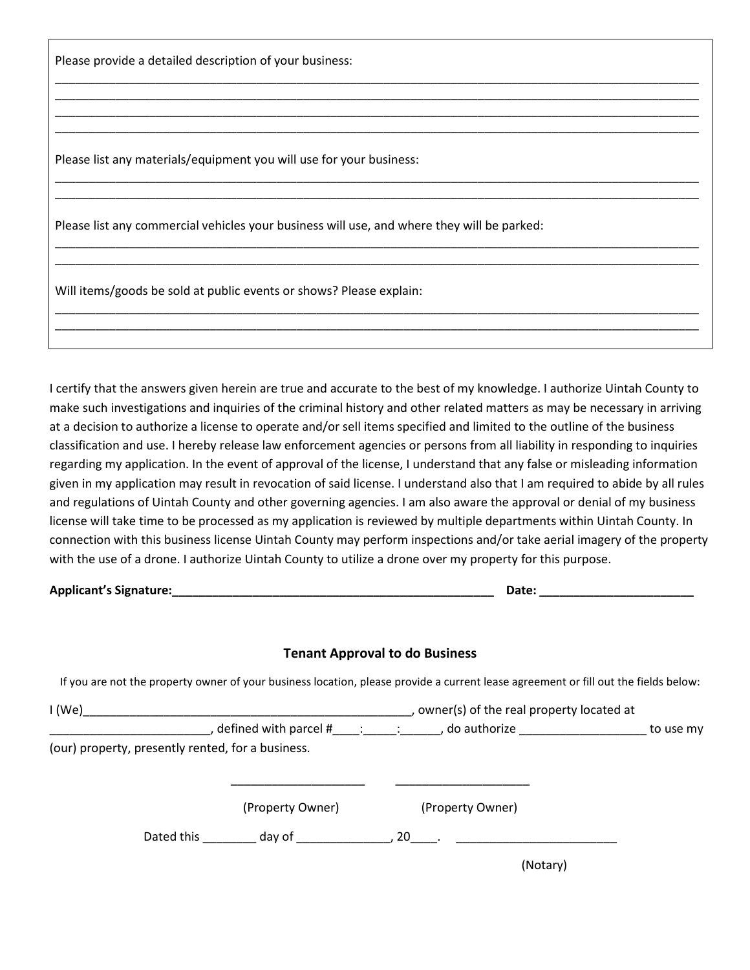Please provide a detailed description of your business:

Please list any materials/equipment you will use for your business:

Please list any commercial vehicles your business will use, and where they will be parked:

Will items/goods be sold at public events or shows? Please explain:

I certify that the answers given herein are true and accurate to the best of my knowledge. I authorize Uintah County to make such investigations and inquiries of the criminal history and other related matters as may be necessary in arriving at a decision to authorize a license to operate and/or sell items specified and limited to the outline of the business classification and use. I hereby release law enforcement agencies or persons from all liability in responding to inquiries regarding my application. In the event of approval of the license, I understand that any false or misleading information given in my application may result in revocation of said license. I understand also that I am required to abide by all rules and regulations of Uintah County and other governing agencies. I am also aware the approval or denial of my business license will take time to be processed as my application is reviewed by multiple departments within Uintah County. In connection with this business license Uintah County may perform inspections and/or take aerial imagery of the property with the use of a drone. I authorize Uintah County to utilize a drone over my property for this purpose.

\_\_\_\_\_\_\_\_\_\_\_\_\_\_\_\_\_\_\_\_\_\_\_\_\_\_\_\_\_\_\_\_\_\_\_\_\_\_\_\_\_\_\_\_\_\_\_\_\_\_\_\_\_\_\_\_\_\_\_\_\_\_\_\_\_\_\_\_\_\_\_\_\_\_\_\_\_\_\_\_\_\_\_\_\_\_\_\_\_\_\_\_\_\_\_\_ \_\_\_\_\_\_\_\_\_\_\_\_\_\_\_\_\_\_\_\_\_\_\_\_\_\_\_\_\_\_\_\_\_\_\_\_\_\_\_\_\_\_\_\_\_\_\_\_\_\_\_\_\_\_\_\_\_\_\_\_\_\_\_\_\_\_\_\_\_\_\_\_\_\_\_\_\_\_\_\_\_\_\_\_\_\_\_\_\_\_\_\_\_\_\_\_ \_\_\_\_\_\_\_\_\_\_\_\_\_\_\_\_\_\_\_\_\_\_\_\_\_\_\_\_\_\_\_\_\_\_\_\_\_\_\_\_\_\_\_\_\_\_\_\_\_\_\_\_\_\_\_\_\_\_\_\_\_\_\_\_\_\_\_\_\_\_\_\_\_\_\_\_\_\_\_\_\_\_\_\_\_\_\_\_\_\_\_\_\_\_\_\_ \_\_\_\_\_\_\_\_\_\_\_\_\_\_\_\_\_\_\_\_\_\_\_\_\_\_\_\_\_\_\_\_\_\_\_\_\_\_\_\_\_\_\_\_\_\_\_\_\_\_\_\_\_\_\_\_\_\_\_\_\_\_\_\_\_\_\_\_\_\_\_\_\_\_\_\_\_\_\_\_\_\_\_\_\_\_\_\_\_\_\_\_\_\_\_\_

\_\_\_\_\_\_\_\_\_\_\_\_\_\_\_\_\_\_\_\_\_\_\_\_\_\_\_\_\_\_\_\_\_\_\_\_\_\_\_\_\_\_\_\_\_\_\_\_\_\_\_\_\_\_\_\_\_\_\_\_\_\_\_\_\_\_\_\_\_\_\_\_\_\_\_\_\_\_\_\_\_\_\_\_\_\_\_\_\_\_\_\_\_\_\_\_ \_\_\_\_\_\_\_\_\_\_\_\_\_\_\_\_\_\_\_\_\_\_\_\_\_\_\_\_\_\_\_\_\_\_\_\_\_\_\_\_\_\_\_\_\_\_\_\_\_\_\_\_\_\_\_\_\_\_\_\_\_\_\_\_\_\_\_\_\_\_\_\_\_\_\_\_\_\_\_\_\_\_\_\_\_\_\_\_\_\_\_\_\_\_\_\_

\_\_\_\_\_\_\_\_\_\_\_\_\_\_\_\_\_\_\_\_\_\_\_\_\_\_\_\_\_\_\_\_\_\_\_\_\_\_\_\_\_\_\_\_\_\_\_\_\_\_\_\_\_\_\_\_\_\_\_\_\_\_\_\_\_\_\_\_\_\_\_\_\_\_\_\_\_\_\_\_\_\_\_\_\_\_\_\_\_\_\_\_\_\_\_\_ \_\_\_\_\_\_\_\_\_\_\_\_\_\_\_\_\_\_\_\_\_\_\_\_\_\_\_\_\_\_\_\_\_\_\_\_\_\_\_\_\_\_\_\_\_\_\_\_\_\_\_\_\_\_\_\_\_\_\_\_\_\_\_\_\_\_\_\_\_\_\_\_\_\_\_\_\_\_\_\_\_\_\_\_\_\_\_\_\_\_\_\_\_\_\_\_

\_\_\_\_\_\_\_\_\_\_\_\_\_\_\_\_\_\_\_\_\_\_\_\_\_\_\_\_\_\_\_\_\_\_\_\_\_\_\_\_\_\_\_\_\_\_\_\_\_\_\_\_\_\_\_\_\_\_\_\_\_\_\_\_\_\_\_\_\_\_\_\_\_\_\_\_\_\_\_\_\_\_\_\_\_\_\_\_\_\_\_\_\_\_\_\_ \_\_\_\_\_\_\_\_\_\_\_\_\_\_\_\_\_\_\_\_\_\_\_\_\_\_\_\_\_\_\_\_\_\_\_\_\_\_\_\_\_\_\_\_\_\_\_\_\_\_\_\_\_\_\_\_\_\_\_\_\_\_\_\_\_\_\_\_\_\_\_\_\_\_\_\_\_\_\_\_\_\_\_\_\_\_\_\_\_\_\_\_\_\_\_\_

**Applicant's Signature:\_\_\_\_\_\_\_\_\_\_\_\_\_\_\_\_\_\_\_\_\_\_\_\_\_\_\_\_\_\_\_\_\_\_\_\_\_\_\_\_\_\_\_\_\_\_\_\_ Date: \_\_\_\_\_\_\_\_\_\_\_\_\_\_\_\_\_\_\_\_\_\_\_**

#### **Tenant Approval to do Business**

If you are not the property owner of your business location, please provide a current lease agreement or fill out the fields below:

| I(We)                                             |            |                  | , owner(s) of the real property located at |                  |  |
|---------------------------------------------------|------------|------------------|--------------------------------------------|------------------|--|
|                                                   |            |                  |                                            | to use my        |  |
| (our) property, presently rented, for a business. |            |                  |                                            |                  |  |
|                                                   |            |                  |                                            |                  |  |
|                                                   |            |                  |                                            |                  |  |
|                                                   |            | (Property Owner) |                                            | (Property Owner) |  |
|                                                   | Dated this | day of           | , 20                                       |                  |  |
|                                                   |            |                  |                                            | (Notary)         |  |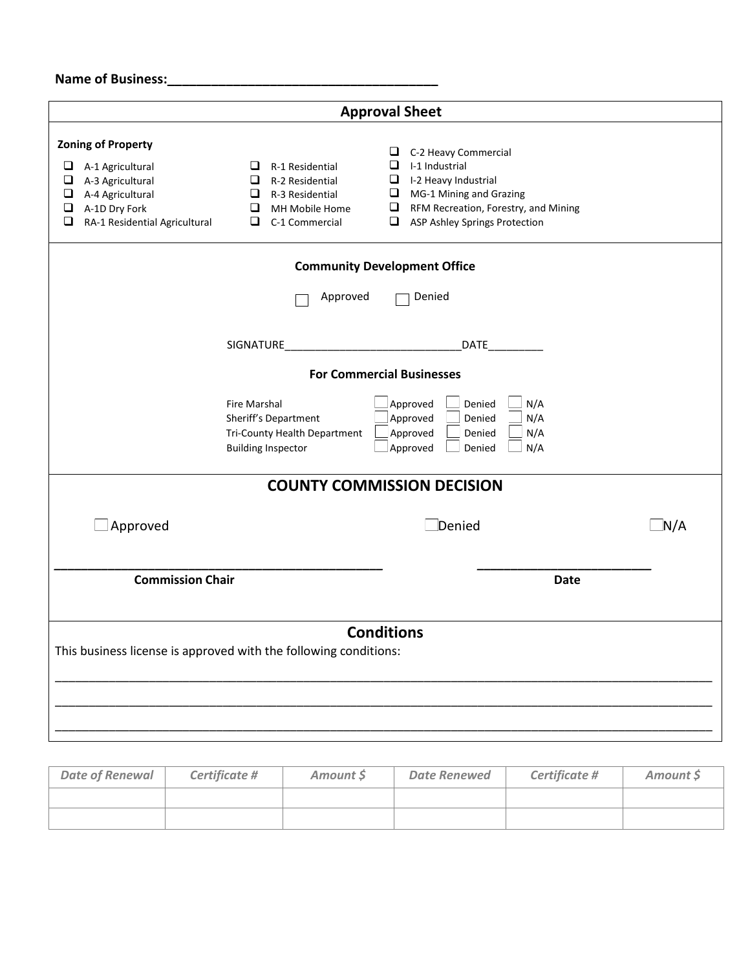# **Name of Business:\_\_\_\_\_\_\_\_\_\_\_\_\_\_\_\_\_\_\_\_\_\_\_\_\_\_\_\_\_\_\_\_\_\_\_\_\_**

| <b>Approval Sheet</b>                                                                                                                                                                                                        |                                                                                                                                                                                                                                                                                                                                           |     |  |  |
|------------------------------------------------------------------------------------------------------------------------------------------------------------------------------------------------------------------------------|-------------------------------------------------------------------------------------------------------------------------------------------------------------------------------------------------------------------------------------------------------------------------------------------------------------------------------------------|-----|--|--|
| <b>Zoning of Property</b><br>$\Box$<br>A-1 Agricultural<br>❏<br>A-3 Agricultural<br>❏<br>A-4 Agricultural<br>$\Box$<br>A-1D Dry Fork<br>❏<br>RA-1 Residential Agricultural                                                   | C-2 Heavy Commercial<br>⊔<br>❏<br>I-1 Industrial<br>$\Box$ R-1 Residential<br>R-2 Residential<br>⊔<br>I-2 Heavy Industrial<br>❏<br>MG-1 Mining and Grazing<br>❏<br>R-3 Residential<br>⊔<br>$\Box$<br>$\Box$<br>RFM Recreation, Forestry, and Mining<br>MH Mobile Home<br>❏<br><b>ASP Ashley Springs Protection</b><br>◻<br>C-1 Commercial |     |  |  |
|                                                                                                                                                                                                                              | <b>Community Development Office</b>                                                                                                                                                                                                                                                                                                       |     |  |  |
|                                                                                                                                                                                                                              | Approved<br>Denied                                                                                                                                                                                                                                                                                                                        |     |  |  |
|                                                                                                                                                                                                                              | SIGNATURE<br>DATE                                                                                                                                                                                                                                                                                                                         |     |  |  |
|                                                                                                                                                                                                                              | <b>For Commercial Businesses</b>                                                                                                                                                                                                                                                                                                          |     |  |  |
| Approved<br><b>Fire Marshal</b><br>Denied<br>N/A<br>Approved<br>Sheriff's Department<br>Denied<br>N/A<br>Approved<br>N/A<br>Tri-County Health Department<br>Denied<br>Approved<br>N/A<br><b>Building Inspector</b><br>Denied |                                                                                                                                                                                                                                                                                                                                           |     |  |  |
| <b>COUNTY COMMISSION DECISION</b>                                                                                                                                                                                            |                                                                                                                                                                                                                                                                                                                                           |     |  |  |
| $\Box$ Approved                                                                                                                                                                                                              | $\Box$ Denied                                                                                                                                                                                                                                                                                                                             | N/A |  |  |
| <b>Commission Chair</b>                                                                                                                                                                                                      | <b>Date</b>                                                                                                                                                                                                                                                                                                                               |     |  |  |
| <b>Conditions</b><br>This business license is approved with the following conditions:                                                                                                                                        |                                                                                                                                                                                                                                                                                                                                           |     |  |  |
|                                                                                                                                                                                                                              |                                                                                                                                                                                                                                                                                                                                           |     |  |  |

| <b>Date of Renewal</b> | Certificate # | Amount \$ | <b>Date Renewed</b> | Certificate # | Amount S |
|------------------------|---------------|-----------|---------------------|---------------|----------|
|                        |               |           |                     |               |          |
|                        |               |           |                     |               |          |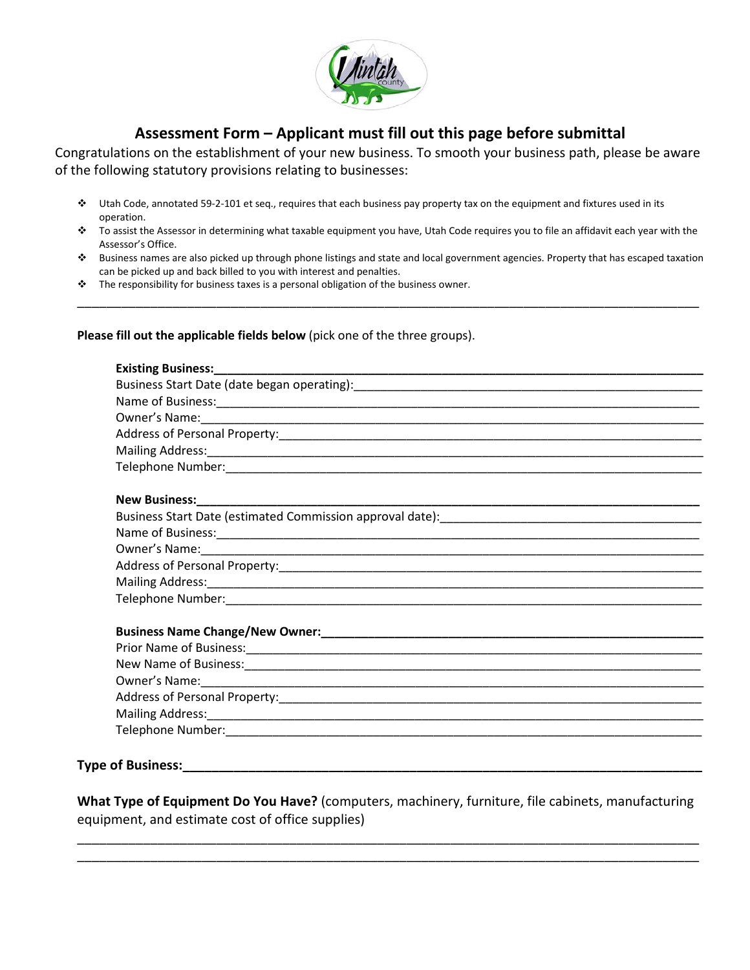

# **Assessment Form – Applicant must fill out this page before submittal**

Congratulations on the establishment of your new business. To smooth your business path, please be aware of the following statutory provisions relating to businesses:

- Utah Code, annotated 59-2-101 et seq., requires that each business pay property tax on the equipment and fixtures used in its operation.
- To assist the Assessor in determining what taxable equipment you have, Utah Code requires you to file an affidavit each year with the Assessor's Office.
- Business names are also picked up through phone listings and state and local government agencies. Property that has escaped taxation can be picked up and back billed to you with interest and penalties.

\_\_\_\_\_\_\_\_\_\_\_\_\_\_\_\_\_\_\_\_\_\_\_\_\_\_\_\_\_\_\_\_\_\_\_\_\_\_\_\_\_\_\_\_\_\_\_\_\_\_\_\_\_\_\_\_\_\_\_\_\_\_\_\_\_\_\_\_\_\_\_\_\_\_\_\_\_\_\_\_\_\_\_\_\_

\* The responsibility for business taxes is a personal obligation of the business owner.

#### **Please fill out the applicable fields below** (pick one of the three groups).

#### **Type of Business:**

**What Type of Equipment Do You Have?** (computers, machinery, furniture, file cabinets, manufacturing equipment, and estimate cost of office supplies)

\_\_\_\_\_\_\_\_\_\_\_\_\_\_\_\_\_\_\_\_\_\_\_\_\_\_\_\_\_\_\_\_\_\_\_\_\_\_\_\_\_\_\_\_\_\_\_\_\_\_\_\_\_\_\_\_\_\_\_\_\_\_\_\_\_\_\_\_\_\_\_\_\_\_\_\_\_\_\_\_\_\_\_\_\_ \_\_\_\_\_\_\_\_\_\_\_\_\_\_\_\_\_\_\_\_\_\_\_\_\_\_\_\_\_\_\_\_\_\_\_\_\_\_\_\_\_\_\_\_\_\_\_\_\_\_\_\_\_\_\_\_\_\_\_\_\_\_\_\_\_\_\_\_\_\_\_\_\_\_\_\_\_\_\_\_\_\_\_\_\_